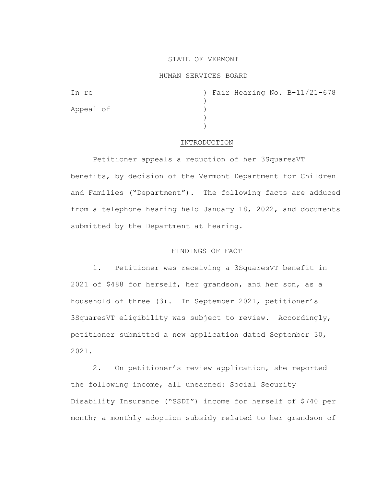## STATE OF VERMONT

### HUMAN SERVICES BOARD

| In re     |  |  | ) Fair Hearing No. B-11/21-678 |
|-----------|--|--|--------------------------------|
|           |  |  |                                |
| Appeal of |  |  |                                |
|           |  |  |                                |
|           |  |  |                                |

#### INTRODUCTION

Petitioner appeals a reduction of her 3SquaresVT benefits, by decision of the Vermont Department for Children and Families ("Department"). The following facts are adduced from a telephone hearing held January 18, 2022, and documents submitted by the Department at hearing.

## FINDINGS OF FACT

1. Petitioner was receiving a 3SquaresVT benefit in 2021 of \$488 for herself, her grandson, and her son, as a household of three (3). In September 2021, petitioner's 3SquaresVT eligibility was subject to review. Accordingly, petitioner submitted a new application dated September 30, 2021.

2. On petitioner's review application, she reported the following income, all unearned: Social Security Disability Insurance ("SSDI") income for herself of \$740 per month; a monthly adoption subsidy related to her grandson of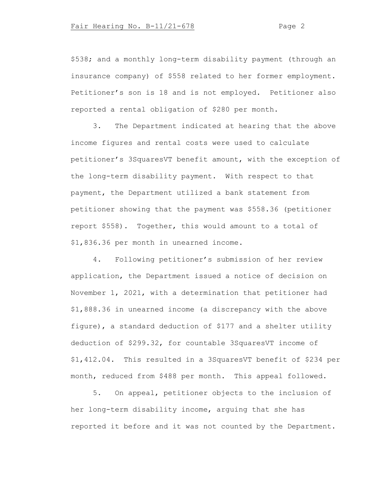\$538; and a monthly long-term disability payment (through an insurance company) of \$558 related to her former employment. Petitioner's son is 18 and is not employed. Petitioner also reported a rental obligation of \$280 per month.

3. The Department indicated at hearing that the above income figures and rental costs were used to calculate petitioner's 3SquaresVT benefit amount, with the exception of the long-term disability payment. With respect to that payment, the Department utilized a bank statement from petitioner showing that the payment was \$558.36 (petitioner report \$558). Together, this would amount to a total of \$1,836.36 per month in unearned income.

4. Following petitioner's submission of her review application, the Department issued a notice of decision on November 1, 2021, with a determination that petitioner had \$1,888.36 in unearned income (a discrepancy with the above figure), a standard deduction of \$177 and a shelter utility deduction of \$299.32, for countable 3SquaresVT income of \$1,412.04. This resulted in a 3SquaresVT benefit of \$234 per month, reduced from \$488 per month. This appeal followed.

5. On appeal, petitioner objects to the inclusion of her long-term disability income, arguing that she has reported it before and it was not counted by the Department.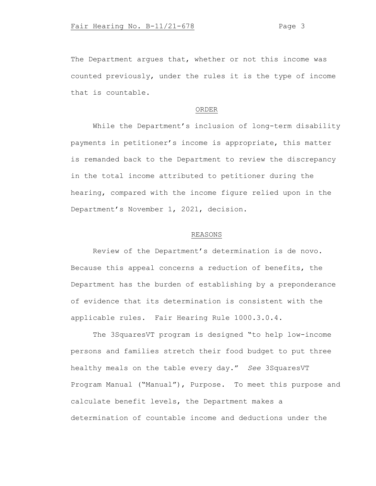The Department argues that, whether or not this income was counted previously, under the rules it is the type of income that is countable.

### ORDER

While the Department's inclusion of long-term disability payments in petitioner's income is appropriate, this matter is remanded back to the Department to review the discrepancy in the total income attributed to petitioner during the hearing, compared with the income figure relied upon in the Department's November 1, 2021, decision.

# REASONS

Review of the Department's determination is de novo. Because this appeal concerns a reduction of benefits, the Department has the burden of establishing by a preponderance of evidence that its determination is consistent with the applicable rules. Fair Hearing Rule 1000.3.0.4.

The 3SquaresVT program is designed "to help low-income persons and families stretch their food budget to put three healthy meals on the table every day." *See* 3SquaresVT Program Manual ("Manual"), Purpose. To meet this purpose and calculate benefit levels, the Department makes a determination of countable income and deductions under the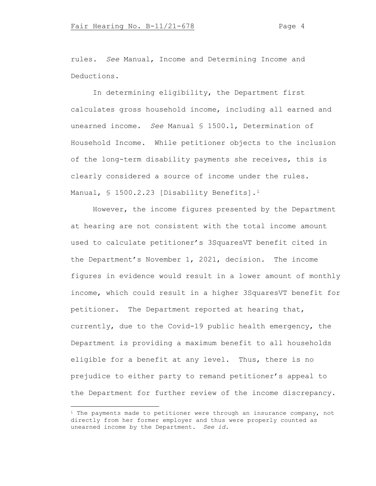rules. *See* Manual, Income and Determining Income and Deductions.

In determining eligibility, the Department first calculates gross household income, including all earned and unearned income. *See* Manual § 1500.1, Determination of Household Income. While petitioner objects to the inclusion of the long-term disability payments she receives, this is clearly considered a source of income under the rules. Manual, § [1](#page-3-0)500.2.23 [Disability Benefits].<sup>1</sup>

However, the income figures presented by the Department at hearing are not consistent with the total income amount used to calculate petitioner's 3SquaresVT benefit cited in the Department's November 1, 2021, decision. The income figures in evidence would result in a lower amount of monthly income, which could result in a higher 3SquaresVT benefit for petitioner. The Department reported at hearing that, currently, due to the Covid-19 public health emergency, the Department is providing a maximum benefit to all households eligible for a benefit at any level. Thus, there is no prejudice to either party to remand petitioner's appeal to the Department for further review of the income discrepancy.

<span id="page-3-0"></span> $1$  The payments made to petitioner were through an insurance company, not directly from her former employer and thus were properly counted as unearned income by the Department. *See id.*